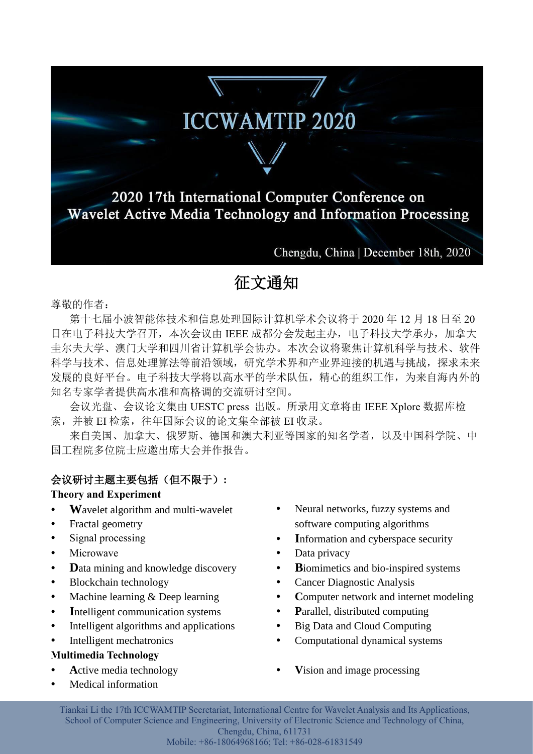# **ICCWAMTIP 2020**

2020 17th International Computer Conference on Wavelet Active Media Technology and Information Processing

Chengdu, China | December 18th, 2020

# 征文通知

尊敬的作者:

第十七届小波智能体技术和信息处理国际计算机学术会议将于 2020 年 12 月 18 日至 20 日在电子科技大学召开,本次会议由 IEEE 成都分会发起主办,电子科技大学承办,加拿大 圭尔夫大学、澳门大学和四川省计算机学会协办。本次会议将聚焦计算机科学与技术、软件 科学与技术、信息处理算法等前沿领域,研究学术界和产业界迎接的机遇与挑战,探求未来 发展的良好平台。电子科技大学将以高水平的学术队伍,精心的组织工作,为来自海内外的 知名专家学者提供高水准和高格调的交流研讨空间。

会议光盘、会议论文集由 UESTC press 出版。所录用文章将由 IEEE Xplore 数据库检 索,并被 EI 检索,往年国际会议的论文集全部被 EI 收录。

来自美国、加拿大、俄罗斯、德国和澳大利亚等国家的知名学者,以及中国科学院、中 国工程院多位院士应邀出席大会并作报告。

## 会议研讨主题主要包括(但不限于)**:**

#### **Theory and Experiment**

- Wavelet algorithm and multi-wavelet
- Fractal geometry
- Signal processing
- Microwave
- **D**ata mining and knowledge discovery
- Blockchain technology
- Machine learning & Deep learning
- Intelligent communication systems
- Intelligent algorithms and applications
- Intelligent mechatronics

### **Multimedia Technology**

- **Active media technology**
- Medical information
- Neural networks, fuzzy systems and software computing algorithms
- Information and cyberspace security
- Data privacy
- **B**iomimetics and bio-inspired systems
- Cancer Diagnostic Analysis
- Computer network and internet modeling
- Parallel, distributed computing
- Big Data and Cloud Computing
- Computational dynamical systems
- **V**ision and image processing

Tiankai Li the 17th ICCWAMTIP Secretariat, International Centre for Wavelet Analysis and Its Applications, School of Computer Science and Engineering, University of Electronic Science and Technology of China, Chengdu, China, 611731

Mobile: +86-18064968166; Tel: +86-028-61831549